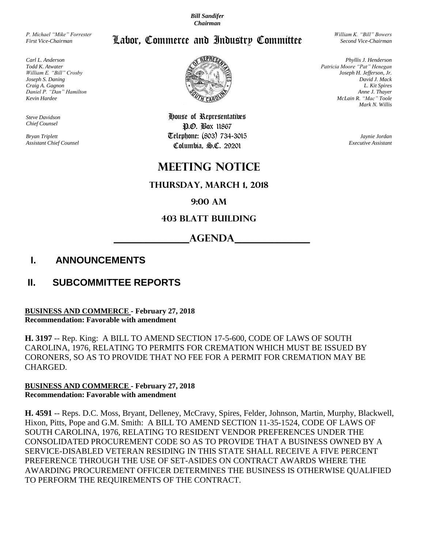*Bill Sandifer Chairman*

Labor, Commerce and Industry Committee

*P. Michael "Mike" Forrester First Vice-Chairman*

*Carl L. Anderson Todd K. Atwater William E. "Bill" Crosby Joseph S. Daning Craig A. Gagnon Daniel P. "Dan" Hamilton Kevin Hardee*

*Steve Davidson Chief Counsel*

*Bryan Triplett Assistant Chief Counsel*



House of Representatives P.O. Box 11867 Telephone: (803) 734-3015 Columbia, S.C. 29201

# **meeting notice**

### **Thursday, March 1, 2018**

### **9:00 am**

### **403 Blatt Building**

## **\_\_\_\_\_\_\_\_\_\_\_\_\_\_AGENDA\_\_\_\_\_\_\_\_\_\_\_\_\_\_**

## **I. ANNOUNCEMENTS**

## **II. SUBCOMMITTEE REPORTS**

#### **BUSINESS AND COMMERCE - February 27, 2018 Recommendation: Favorable with amendment**

**H. 3197** -- Rep. King: A BILL TO AMEND SECTION 17-5-600, CODE OF LAWS OF SOUTH CAROLINA, 1976, RELATING TO PERMITS FOR CREMATION WHICH MUST BE ISSUED BY CORONERS, SO AS TO PROVIDE THAT NO FEE FOR A PERMIT FOR CREMATION MAY BE CHARGED.

#### **BUSINESS AND COMMERCE - February 27, 2018 Recommendation: Favorable with amendment**

**H. 4591** -- Reps. D.C. Moss, Bryant, Delleney, McCravy, Spires, Felder, Johnson, Martin, Murphy, Blackwell, Hixon, Pitts, Pope and G.M. Smith: A BILL TO AMEND SECTION 11-35-1524, CODE OF LAWS OF SOUTH CAROLINA, 1976, RELATING TO RESIDENT VENDOR PREFERENCES UNDER THE CONSOLIDATED PROCUREMENT CODE SO AS TO PROVIDE THAT A BUSINESS OWNED BY A SERVICE-DISABLED VETERAN RESIDING IN THIS STATE SHALL RECEIVE A FIVE PERCENT PREFERENCE THROUGH THE USE OF SET-ASIDES ON CONTRACT AWARDS WHERE THE AWARDING PROCUREMENT OFFICER DETERMINES THE BUSINESS IS OTHERWISE QUALIFIED TO PERFORM THE REQUIREMENTS OF THE CONTRACT.

*William K. "Bill" Bowers Second Vice-Chairman*

*Phyllis J. Henderson Patricia Moore "Pat" Henegan Joseph H. Jefferson, Jr. David J. Mack L. Kit Spires Anne J. Thayer McLain R. "Mac" Toole Mark N. Willis*

> *Jaynie Jordan Executive Assistant*